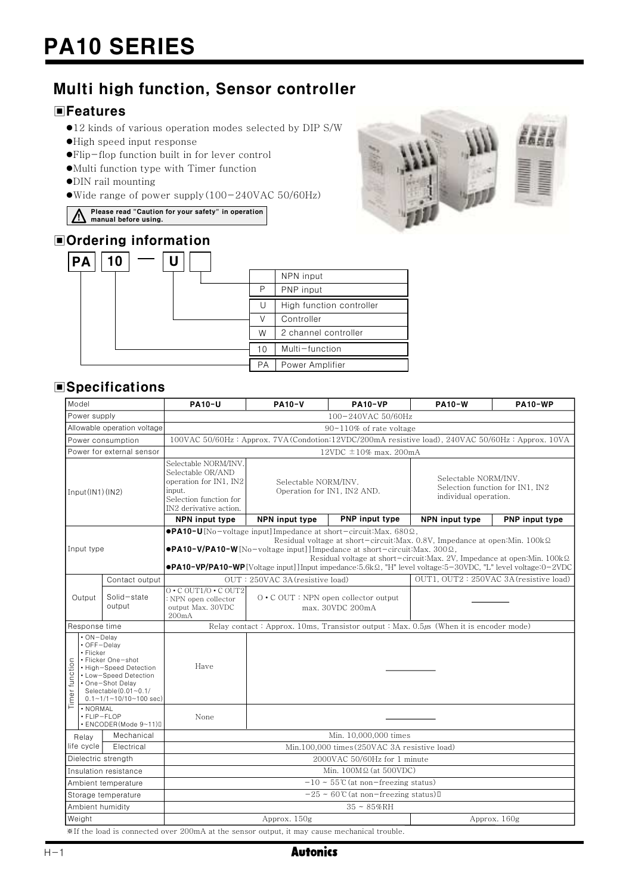# Multi high function, Sensor controller

# **EFeatures**

- ●12 kinds of various operation modes selected by DIP S/W
- ●High speed input response
- ●Flip-flop function built in for lever control
- $\bullet$  Multi function type with Timer function
- $\bullet$  DIN rail mounting
- Wide range of power supply  $(100-240\text{VAC }50/60\text{Hz})$
- Please read "Caution for your safety" in operation<br>manual before using.
- 

# **■Ordering information**



# **ESpecifications**

| Model                       |                                                                                                                                                                                                          |                       | <b>PA10-U</b>                                                                                                                                                                                                                                                                                                                                                                                                                                                                         | <b>PA10-V</b>                                                   | <b>PA10-VP</b>        | <b>PA10-W</b>                                                                    | <b>PA10-WP</b>                         |  |
|-----------------------------|----------------------------------------------------------------------------------------------------------------------------------------------------------------------------------------------------------|-----------------------|---------------------------------------------------------------------------------------------------------------------------------------------------------------------------------------------------------------------------------------------------------------------------------------------------------------------------------------------------------------------------------------------------------------------------------------------------------------------------------------|-----------------------------------------------------------------|-----------------------|----------------------------------------------------------------------------------|----------------------------------------|--|
| Power supply                |                                                                                                                                                                                                          |                       | 100-240VAC 50/60Hz                                                                                                                                                                                                                                                                                                                                                                                                                                                                    |                                                                 |                       |                                                                                  |                                        |  |
| Allowable operation voltage |                                                                                                                                                                                                          |                       | $90 \sim 110\%$ of rate voltage                                                                                                                                                                                                                                                                                                                                                                                                                                                       |                                                                 |                       |                                                                                  |                                        |  |
| Power consumption           |                                                                                                                                                                                                          |                       | 100VAC 50/60Hz: Approx. 7VA (Condotion:12VDC/200mA resistive load), 240VAC 50/60Hz: Approx. 10VA                                                                                                                                                                                                                                                                                                                                                                                      |                                                                 |                       |                                                                                  |                                        |  |
| Power for external sensor   |                                                                                                                                                                                                          |                       | 12VDC $\pm$ 10% max. 200mA                                                                                                                                                                                                                                                                                                                                                                                                                                                            |                                                                 |                       |                                                                                  |                                        |  |
| Input(IN1)(IN2)             |                                                                                                                                                                                                          |                       | Selectable NORM/INV.<br>Selectable OR/AND<br>operation for IN1, IN2<br>input.<br>Selection function for<br>IN2 derivative action.                                                                                                                                                                                                                                                                                                                                                     | Selectable NORM/INV.<br>Operation for IN1, IN2 AND.             |                       | Selectable NORM/INV.<br>Selection function for IN1, IN2<br>individual operation. |                                        |  |
|                             |                                                                                                                                                                                                          |                       | NPN input type                                                                                                                                                                                                                                                                                                                                                                                                                                                                        | NPN input type                                                  | <b>PNP</b> input type | NPN input type                                                                   | PNP input type                         |  |
| Input type                  |                                                                                                                                                                                                          |                       | $\bullet$ PA10-U[No-voltage input]Impedance at short-circuit: Max. 680 $\Omega$ .<br>Residual voltage at short-circuit: Max. $0.8V$ , Impedance at open: Min. $100k\Omega$<br>$\bullet$ PA10-V/PA10-W[No-voltage input]] Impedance at short-circuit: Max. 300 $\Omega$ ,<br>Residual voltage at short-circuit: Max. 2V, Impedance at open: Min. 100kΩ<br><b>•PA10-VP/PA10-WP</b> [Voltage input]] Input impedance:5.6k $\Omega$ , "H" level voltage:5-30VDC, "L" level voltage:0-2VDC |                                                                 |                       |                                                                                  |                                        |  |
|                             |                                                                                                                                                                                                          | Contact output        |                                                                                                                                                                                                                                                                                                                                                                                                                                                                                       | OUT: 250VAC 3A (resistive load)                                 |                       |                                                                                  | OUT1, OUT2: 250VAC 3A (resistive load) |  |
| Output                      |                                                                                                                                                                                                          | Solid-state<br>output | $0 \cdot C$ OUT1/0 $\cdot C$ OUT2<br>: NPN open collector<br>output Max. 30VDC<br>200mA                                                                                                                                                                                                                                                                                                                                                                                               | $0 \cdot C$ OUT : NPN open collector output<br>max. 30VDC 200mA |                       |                                                                                  |                                        |  |
| Response time               |                                                                                                                                                                                                          |                       | Relay contact: Approx. 10ms, Transistor output: Max. 0.5µs (When it is encoder mode)                                                                                                                                                                                                                                                                                                                                                                                                  |                                                                 |                       |                                                                                  |                                        |  |
| Timer function              | $\cdot$ ON-Delay<br>• OFF-Delav<br>• Flicker<br>• Flicker One-shot<br>• High-Speed Detection<br>• Low-Speed Detection<br>• One-Shot Delay<br>Selectable $(0.01 - 0.1)$<br>$0.1 - 1/1 - 10/10 - 100$ sec) |                       | Have                                                                                                                                                                                                                                                                                                                                                                                                                                                                                  |                                                                 |                       |                                                                                  |                                        |  |
|                             | · NORMAL<br>· FLIP-FLOP<br>· ENCODER(Mode 9~11)0                                                                                                                                                         |                       | None                                                                                                                                                                                                                                                                                                                                                                                                                                                                                  |                                                                 |                       |                                                                                  |                                        |  |
|                             | Relay                                                                                                                                                                                                    | Mechanical            | Min. 10,000,000 times                                                                                                                                                                                                                                                                                                                                                                                                                                                                 |                                                                 |                       |                                                                                  |                                        |  |
| life cycle<br>Electrical    |                                                                                                                                                                                                          |                       | Min.100,000 times (250VAC 3A resistive load)                                                                                                                                                                                                                                                                                                                                                                                                                                          |                                                                 |                       |                                                                                  |                                        |  |
| Dielectric strength         |                                                                                                                                                                                                          |                       | 2000VAC 50/60Hz for 1 minute                                                                                                                                                                                                                                                                                                                                                                                                                                                          |                                                                 |                       |                                                                                  |                                        |  |
| Insulation resistance       |                                                                                                                                                                                                          |                       | Min. $100M\Omega$ (at 500VDC)                                                                                                                                                                                                                                                                                                                                                                                                                                                         |                                                                 |                       |                                                                                  |                                        |  |
| Ambient temperature         |                                                                                                                                                                                                          |                       | $-10 \sim 55 \text{°C}$ (at non-freezing status)                                                                                                                                                                                                                                                                                                                                                                                                                                      |                                                                 |                       |                                                                                  |                                        |  |
| Storage temperature         |                                                                                                                                                                                                          |                       | $-25 \sim 60$ °C (at non-freezing status) [                                                                                                                                                                                                                                                                                                                                                                                                                                           |                                                                 |                       |                                                                                  |                                        |  |
| Ambient humidity            |                                                                                                                                                                                                          |                       | $35 \sim 85\%$ RH                                                                                                                                                                                                                                                                                                                                                                                                                                                                     |                                                                 |                       |                                                                                  |                                        |  |
| Weight                      |                                                                                                                                                                                                          |                       | Approx. 150g<br>Approx. 160g                                                                                                                                                                                                                                                                                                                                                                                                                                                          |                                                                 |                       |                                                                                  |                                        |  |
|                             |                                                                                                                                                                                                          |                       | *If the load is connected over 200mA at the sensor output, it may cause mechanical trouble.                                                                                                                                                                                                                                                                                                                                                                                           |                                                                 |                       |                                                                                  |                                        |  |



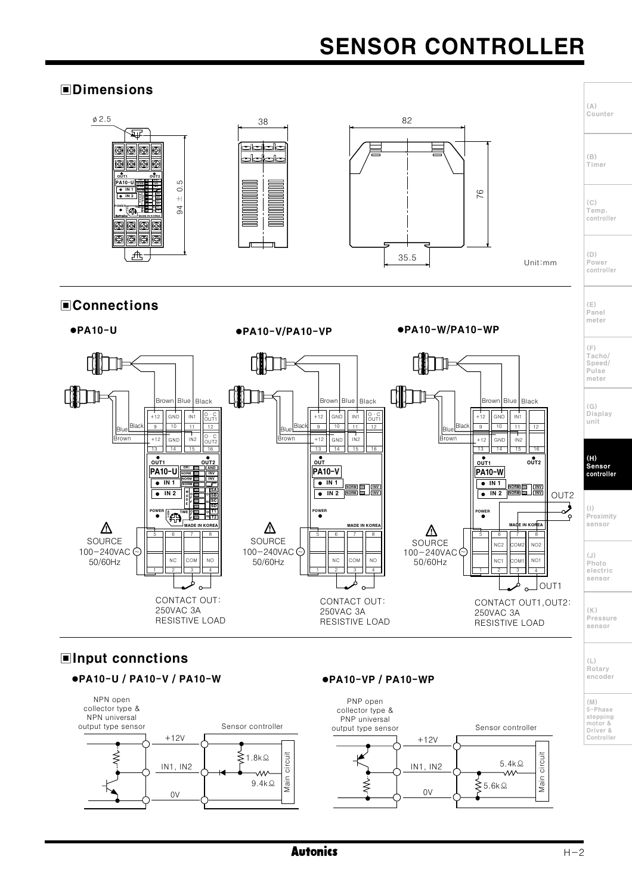# **SENSOR CONTROLLER**

## **FDimensions**

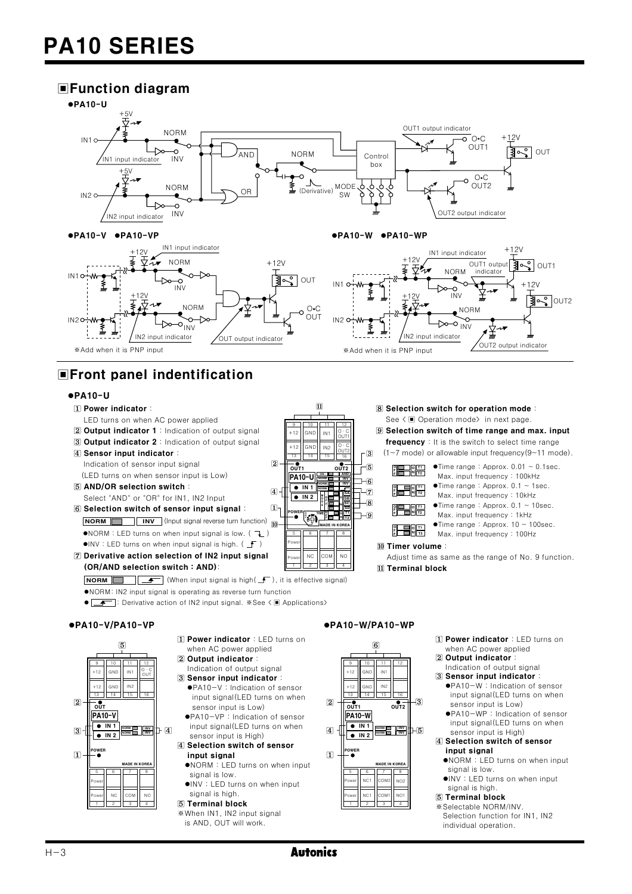# **■Function diagram**



 $\overline{11}$ 

IN1

IN2

 $\sqrt{2}$ 

 $\vert 4 \vert$ 

 $\Pi$ 

 $\overline{10}$ 

 $\frac{1}{\text{OUT}}$ 

**PA10-U** 

 $\sqrt{•}$  IN 1

 $\sqrt{2}$  IN 2

្រុ

 $\overline{M}$ 

 $\overline{N}$ 

# ■Front panel indentification

#### $ePA10-U$

- [1] Power indicator:
- LED turns on when AC power applied
- 2 Output indicator 1 : Indication of output signal
- 3 Output indicator 2 : Indication of output signal
- 4 Sensor input indicator Indication of sensor input signal (LED turns on when sensor input is Low)
- 5 AND/OR selection switch: Select "AND" or "OR" for IN1, IN2 Input
- 6 Selection switch of sensor input signal **NORM INV** (Input signal reverse turn function)  $\bullet$ NORM : LED turns on when input signal is low. ( $\tau$ )  $\bullet$ INV : LED turns on when input signal is high. ( $\cdot$  )
- [7] Derivative action selection of IN2 input signal (OR/AND selection switch: AND):

**NORM**  $\boxed{\phantom{a}}$   $\boxed{\phantom{a}}$  (When input signal is high( $\boxed{\phantom{a}}$ ), it is effective signal)

- .NORM: IN2 input signal is operating as reverse turn function
- Function of IN2 input signal. \*See < I Applications>

#### ●PA10-V/PA10-VP



- [1] Power indicator : LED turns on when AC power applied
- 2 Output indicator: Indication of output signal
- 3 Sensor input indicator: ●PA10-V : Indication of sensor input signal(LED turns on when
- sensor input is Low) ●PA10-VP : Indication of sensor
- input signal(LED turns on when sensor input is High)

#### 4 Selection switch of sensor input signal

- .NORM : LED turns on when input signal is low.
- OINV: LED turns on when input signal is high.
- 5 Terminal block
- \*When IN1, IN2 input signal
- is AND. OUT will work.

#### ●PA10-W/PA10-WP

 $\overline{3}$ 

 $\overline{5}$ 

 $\overline{7}$ 

 $\overline{8}$ 

 $7 - 6$ 

脂制蜡

<u>pedir</u>

10 Timer volume:

[1] Terminal block



- -
- 11 Power indicator: LED turns on when AC power applied
- 2 Output indicator

8 Selection switch for operation mode: See < ■ Operation mode> in next page.

**9** Selection switch of time range and max. input

frequency : It is the switch to select time range

(1~7 mode) or allowable input frequency(9~11 mode).

 $\bullet$ Time range: Approx. 0.01 ~ 0.1sec.

Max. input frequency: 100kHz

 $\bullet$ Time range: Approx. 0.1 ~ 1sec.

 $\bullet$ Time range: Approx. 0.1 ~ 10sec.

 $\bullet$ Time range: Approx. 10 ~ 100sec.

Max. input frequency: 10kHz

Max. input frequency: 1kHz

Max. input frequency: 100Hz

Adjust time as same as the range of No. 9 function.

- Indication of output signal 3 Sensor input indicator:
	- ●PA10-W: Indication of sensor input signal(LED turns on when sensor input is Low)
	- ●PA10-WP: Indication of sensor input signal(LED turns on when sensor input is High)
- 4 Selection switch of sensor input signal
	- .NORM: LED turns on when input signal is low.
	- ·INV: LED turns on when input signal is high

#### 5 Terminal block

\*Selectable NORM/INV. Selection function for IN1 IN2 individual operation.

**Autonics**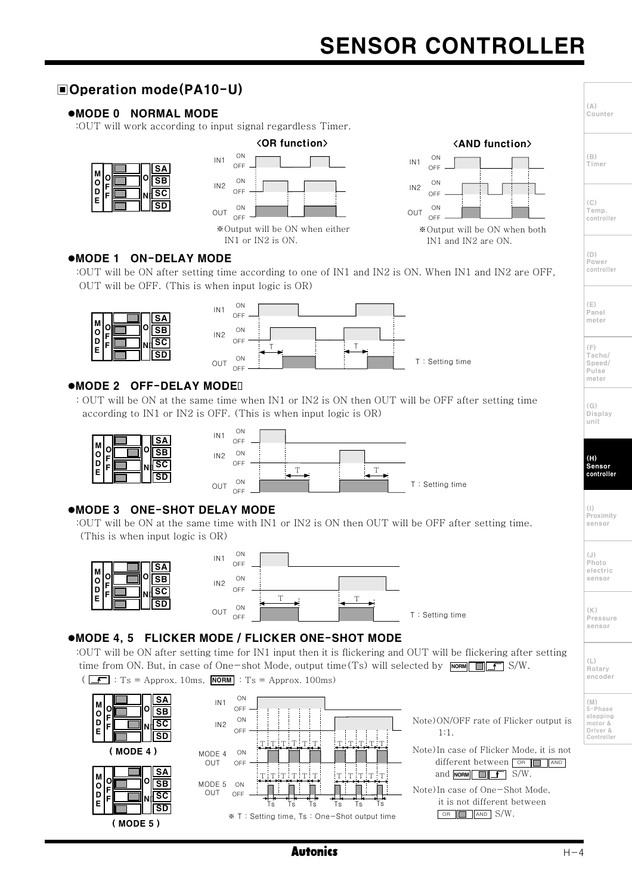# **SENSOR CONTROLLER**

#### **■Operation mode(PA10-U)**  $(\triangle)$ .MODE 0 NORMAL MODE Counter :OUT will work according to input signal regardless Timer. <OR function> <AND function> ON  $(\mathbb{R})$ ON  $IN1$  $IN1$ OFF OFF Timer **SA** M  $\overline{\text{SB}}$  $\ddot{\circ}$  $\cap N$ ON  $IN2$  $IN2$  $\ddot{\mathsf{p}}$  $\overline{\overline{\text{sc}}}$ OFF OFF E  $(C)$  $\overline{\overline{\textsf{SD}}}$  $ON$ ON Temp.<br>controller OUT OUT OFF OFF \*Output will be ON when either \*Output will be ON when both IN1 or IN2 is ON. IN1 and IN2 are ON.  $(D)$ ●MODE 1 ON-DELAY MODE .\_,<br>Power :OUT will be ON after setting time according to one of IN1 and IN2 is ON. When IN1 and IN2 are OFF, controller OUT will be OFF. (This is when input logic is OR)  $ON$  $(E)$  $IN1$ Panel OFF **SA** meter M  $|SB|$  $\bigcap$ ۱n  $IN2$ F  $\cap$ EE ١D  $|SC|$ F  $(F)$ ١F  $\overline{\text{SD}}$ Tacho/  $O<sub>N</sub>$ T: Setting time OUT Speed/ OFF  $PII$ se meter **OMODE 2 OFF-DELAY MODE!** : OUT will be ON at the same time when IN1 or IN2 is ON then OUT will be OFF after setting time  $(G)$ according to IN1 or IN2 is OFF. (This is when input logic is OR) Display unit  $\bigcap$  $IN1$  $\overline{\text{SA}}$ OFF M  $\overline{\text{SB}}$  $ON$  $\circ$  $IN2$  $(H)$ l n  $\overline{\text{sc}}$ OFF Sensor<br>controll  $\tau$  $\overline{1}$  $\overline{\text{sn}}$  $ON$ T: Setting time OUT  $\bigcap$ EE **OMODE 3 ONE-SHOT DELAY MODE**  $($ |  $)$ \''<br>Proximity :OUT will be ON at the same time with IN1 or IN2 is ON then OUT will be OFF after setting time. sensor (This is when input logic is OR) ON  $(.1)$ IN<sub>1</sub> Photo OFF SΔ M electric  $\Omega$ sensor  $\overline{\text{SB}}$ ON ۱o  $IN2$ F OFF D  $\overline{\text{sc}}$ T ١E  $\overline{\text{SD}}$ ON **OUT**  $(K)$ T: Setting time OFF Pressure . . . . . .<br>sensor ●MODE 4, 5 FLICKER MODE / FLICKER ONE-SHOT MODE :OUT will be ON after setting time for IN1 input then it is flickering and OUT will be flickering after setting  $(\mathrel{\sqcup})$ time from ON. But, in case of One-shot Mode, output time (Ts) will selected by  $\boxed{\mod{F}}$   $\boxed{\mod{F}}$  S/W. er<br>Rotarv encoder  $\overline{S}$  : T<sub>S</sub> = Approx. 10ms, **NORM** : T<sub>S</sub> = Approx. 100ms)  $SA$ ON  $(N)$  $IN1$ M  $CCE$ ....,<br>5-Phase  $\log$ Öp stepping<br>motor &<br>Driver & F  $\bigcap$  $MSE$ Note) ON/OFF rate of Flicker output is  $IN2$ F  $\cap$ EE IΕ  $1.1$  $\sqrt{5D}$ Controller  $\overline{\mathbf{r}}$  $\overline{r}$ Note) In case of Flicker Mode, it is not  $(MODE 4)$  $ON$ MODE 4 OUT different between **OR THAND** OFF **SA** and  $\overline{\text{NORM}}$   $\overline{\text{I.F}}$  S/W. lм lo  $0$ SB MODE 5  $\bigcap$ 0 F Note) In case of One-Shot Mode, OUT l٥  $\overline{\mathsf{sc}}$  $OFF$ Ē it is not different between ١E Τs тś Ť۶  $\overline{\text{SD}}$  $OR$   $AND$   $S/W$ . ※ T: Setting time, Ts: One-Shot output time  $(MODE 5)$ **Autonics**  $H - 4$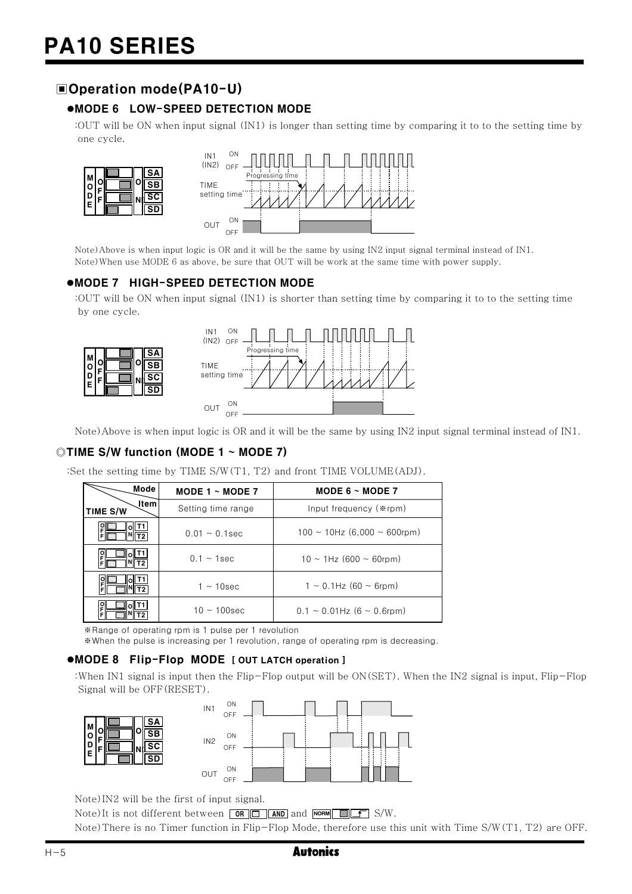۱a

# Doperation mode(PA10-U)

## ●MODE 6 LOW-SPEED DETECTION MODE

:00T will be ON when input signal  $(N1)$  is longer than setting time by comparing it to to the setting time by one cycle.



Note) Above is when input logic is OR and it will be the same by using IN2 input signal terminal instead of IN1. Note) When use MODE 6 as above, be sure that OUT will be work at the same time with power supply.

#### ●MODE 7 HIGH-SPEED DETECTION MODE

:OUT will be ON when input signal (IN1) is shorter than setting time by comparing it to to the setting time by one cycle.





Note) Above is when input logic is OR and it will be the same by using IN2 input signal terminal instead of IN1.

#### ©TIME S/W function (MODE 1 ~ MODE 7)

:Set the setting time by TIME S/W(T1, T2) and front TIME VOLUME(ADJ).

| Mode             | MODE 1 $\sim$ MODE 7 | MODE 6 $\sim$ MODE 7                    |  |
|------------------|----------------------|-----------------------------------------|--|
| ltem<br>TIME S/W | Setting time range   | Input frequency (*rpm)                  |  |
|                  | $0.01 \sim 0.1$ sec  | $100 \sim 10$ Hz $(6,000 \sim 600$ rpm) |  |
| ان<br>آ          | $0.1 - 1$ sec        | $10 \sim 1$ Hz (600 $\sim 60$ rpm)      |  |
| o<br>F           | $1 \sim 10$ sec      | $1 \sim 0.1$ Hz (60 $\sim$ 6rpm)        |  |
| 위<br>F           | $10 \sim 100$ sec    | $0.1 \sim 0.01$ Hz (6 $\sim 0.6$ rpm)   |  |

\*Range of operating rpm is 1 pulse per 1 revolution

\*When the pulse is increasing per 1 revolution, range of operating rpm is decreasing.

#### .MODE 8 Flip-Flop MODE [ OUT LATCH operation ]

: When IN1 signal is input then the Flip-Flop output will be  $ON(SET)$ . When the IN2 signal is input, Flip-Flop Signal will be OFF (RESET).





Note) IN2 will be the first of input signal.

Note) It is not different between  $\boxed{OR}$   $\boxed{)}$  AND and  $\boxed{norm}$   $\boxed{ }$   $\boxed{S/W}$ .

Note) There is no Timer function in Flip-Flop Mode, therefore use this unit with Time S/W(T1, T2) are OFF.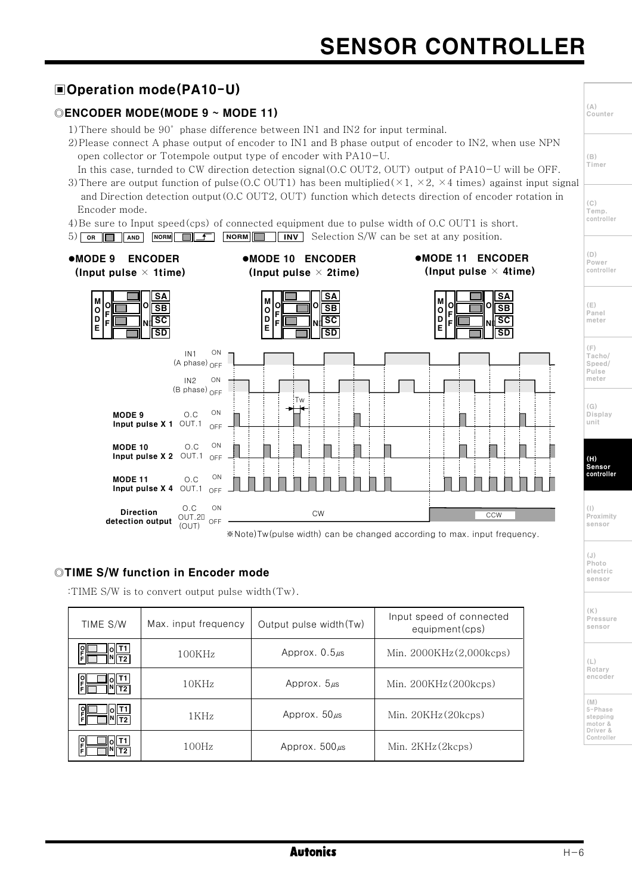# **□Operation mode(PA10-U)**

# ©ENCODER MODE(MODE 9 ~ MODE 11)

- 1) There should be 90° phase difference between IN1 and IN2 for input terminal.
- 2) Please connect A phase output of encoder to IN1 and B phase output of encoder to IN2, when use NPN open collector or Totempole output type of encoder with PA10-U.

In this case, turnded to CW direction detection signal  $(0.C OUT2, OUT)$  output of  $PA10-U$  will be OFF.

3) There are output function of pulse (O.C OUT1) has been multiplied ( $\times$ 1,  $\times$ 2,  $\times$ 4 times) against input signal and Direction detection output (O.C OUT2, OUT) function which detects direction of encoder rotation in Encoder mode.

<u>SA</u>

 $\overline{\text{SB}}$ 

 $\overline{\mathsf{sc}}$ 

 $\overline{\text{SD}}$ 

 $\Omega$ 

- 4) Be sure to Input speed (cps) of connected equipment due to pulse width of O.C OUT1 is short.
- 5) OR AND NORM SURF NORM NORM Selection S/W can be set at any position.

M

 $\ddot{\circ}$ 

Ō

E

F

Ŀ

#### •MODE 9 ENCODER (Input pulse  $\times$  1time)







●MODE 11 ENCODER



\*Note)Tw(pulse width) can be changed according to max. input frequency.

#### ©TIME S/W function in Encoder mode

:TIME S/W is to convert output pulse width (Tw).

| TIME S/W      | Max. input frequency | Output pulse width (Tw) | Input speed of connected<br>equipment(cps) |
|---------------|----------------------|-------------------------|--------------------------------------------|
| ە<br>F        | 100KHz               | Approx. $0.5\mu s$      | Min. $2000KHz(2,000kcps)$                  |
| 읽<br>E        | 10KHz                | Approx. $5\mu s$        | Min. $200KHz(200kcps)$                     |
| $\frac{1}{2}$ | 1KHz                 | Approx. $50 \mu s$      | Min. $20KHz(20kcps)$                       |
| $\frac{1}{2}$ | 100Hz                | Approx. $500 \mu s$     | Min. $2KHz(2kcps)$                         |

 $(C)$ Temp. controller  $(n)$ 

 $(\triangle)$ 

 $(\mathbb{B})$ Timer

Counter

Power controller

 $(E)$ Panel meter

 $(\mathop{\mathsf{F}})$ Tacho/ Speed/ Pulse meter

 $(G)$ Display unit

 $(H)$ Sensor<br>controller

 $(1)$ Proximity sensor

 $(.1)$ Photo electric sensor

 $(\mathbb{K})$ Pressure sensor

 $(\mathsf{L})$ **Rotary** encoder

(M)<br>5-Phase stepping motor &<br>Driver & Controller